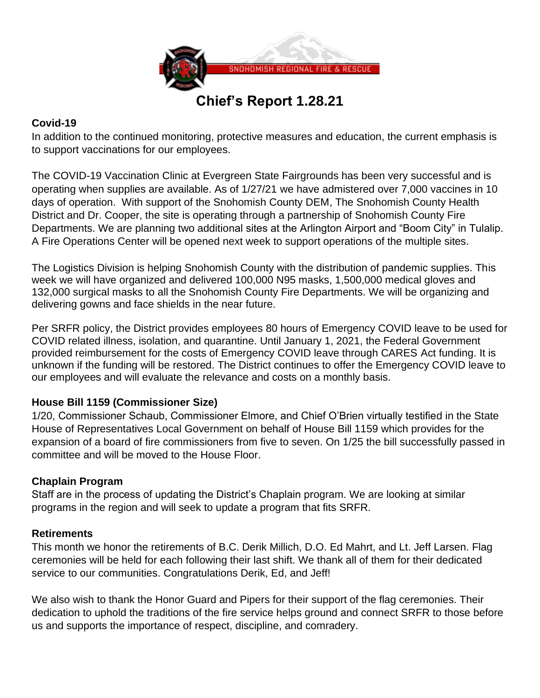

# **Chief's Report 1.28.21**

# **Covid-19**

In addition to the continued monitoring, protective measures and education, the current emphasis is to support vaccinations for our employees.

The COVID-19 Vaccination Clinic at Evergreen State Fairgrounds has been very successful and is operating when supplies are available. As of 1/27/21 we have admistered over 7,000 vaccines in 10 days of operation. With support of the Snohomish County DEM, The Snohomish County Health District and Dr. Cooper, the site is operating through a partnership of Snohomish County Fire Departments. We are planning two additional sites at the Arlington Airport and "Boom City" in Tulalip. A Fire Operations Center will be opened next week to support operations of the multiple sites.

The Logistics Division is helping Snohomish County with the distribution of pandemic supplies. This week we will have organized and delivered 100,000 N95 masks, 1,500,000 medical gloves and 132,000 surgical masks to all the Snohomish County Fire Departments. We will be organizing and delivering gowns and face shields in the near future.

Per SRFR policy, the District provides employees 80 hours of Emergency COVID leave to be used for COVID related illness, isolation, and quarantine. Until January 1, 2021, the Federal Government provided reimbursement for the costs of Emergency COVID leave through CARES Act funding. It is unknown if the funding will be restored. The District continues to offer the Emergency COVID leave to our employees and will evaluate the relevance and costs on a monthly basis.

# **House Bill 1159 (Commissioner Size)**

1/20, Commissioner Schaub, Commissioner Elmore, and Chief O'Brien virtually testified in the State House of Representatives Local Government on behalf of House Bill 1159 which provides for the expansion of a board of fire commissioners from five to seven. On 1/25 the bill successfully passed in committee and will be moved to the House Floor.

# **Chaplain Program**

Staff are in the process of updating the District's Chaplain program. We are looking at similar programs in the region and will seek to update a program that fits SRFR.

# **Retirements**

This month we honor the retirements of B.C. Derik Millich, D.O. Ed Mahrt, and Lt. Jeff Larsen. Flag ceremonies will be held for each following their last shift. We thank all of them for their dedicated service to our communities. Congratulations Derik, Ed, and Jeff!

We also wish to thank the Honor Guard and Pipers for their support of the flag ceremonies. Their dedication to uphold the traditions of the fire service helps ground and connect SRFR to those before us and supports the importance of respect, discipline, and comradery.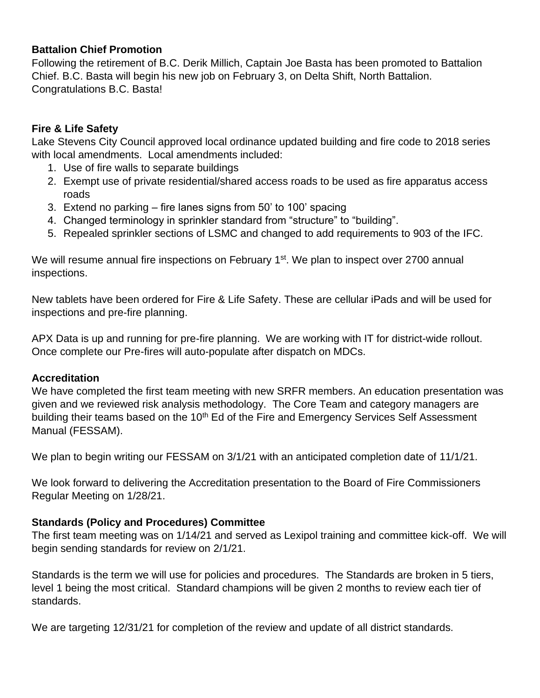## **Battalion Chief Promotion**

Following the retirement of B.C. Derik Millich, Captain Joe Basta has been promoted to Battalion Chief. B.C. Basta will begin his new job on February 3, on Delta Shift, North Battalion. Congratulations B.C. Basta!

# **Fire & Life Safety**

Lake Stevens City Council approved local ordinance updated building and fire code to 2018 series with local amendments. Local amendments included:

- 1. Use of fire walls to separate buildings
- 2. Exempt use of private residential/shared access roads to be used as fire apparatus access roads
- 3. Extend no parking fire lanes signs from 50' to 100' spacing
- 4. Changed terminology in sprinkler standard from "structure" to "building".
- 5. Repealed sprinkler sections of LSMC and changed to add requirements to 903 of the IFC.

We will resume annual fire inspections on February 1<sup>st</sup>. We plan to inspect over 2700 annual inspections.

New tablets have been ordered for Fire & Life Safety. These are cellular iPads and will be used for inspections and pre-fire planning.

APX Data is up and running for pre-fire planning. We are working with IT for district-wide rollout. Once complete our Pre-fires will auto-populate after dispatch on MDCs.

## **Accreditation**

We have completed the first team meeting with new SRFR members. An education presentation was given and we reviewed risk analysis methodology. The Core Team and category managers are building their teams based on the 10<sup>th</sup> Ed of the Fire and Emergency Services Self Assessment Manual (FESSAM).

We plan to begin writing our FESSAM on 3/1/21 with an anticipated completion date of 11/1/21.

We look forward to delivering the Accreditation presentation to the Board of Fire Commissioners Regular Meeting on 1/28/21.

# **Standards (Policy and Procedures) Committee**

The first team meeting was on 1/14/21 and served as Lexipol training and committee kick-off. We will begin sending standards for review on 2/1/21.

Standards is the term we will use for policies and procedures. The Standards are broken in 5 tiers, level 1 being the most critical. Standard champions will be given 2 months to review each tier of standards.

We are targeting 12/31/21 for completion of the review and update of all district standards.